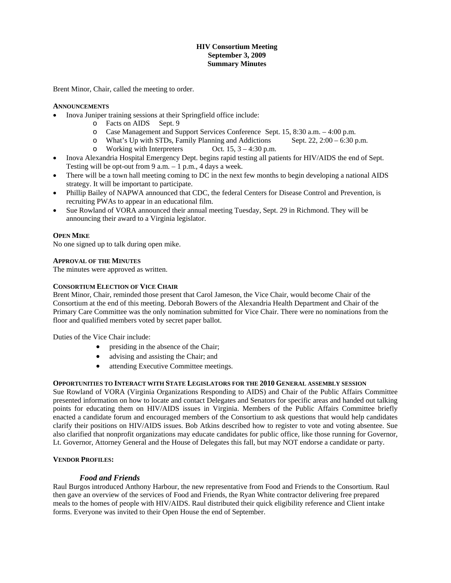# **HIV Consortium Meeting September 3, 2009 Summary Minutes**

Brent Minor, Chair, called the meeting to order.

## **ANNOUNCEMENTS**

- Inova Juniper training sessions at their Springfield office include:
	- o Facts on AIDS Sept. 9
	- o Case Management and Support Services Conference Sept. 15, 8:30 a.m. 4:00 p.m.
	- o What's Up with STDs, Family Planning and Addictions Sept. 22,  $2:00 6:30$  p.m.<br>O Working with Interpreters Oct. 15,  $3 4:30$  p.m.
	- $\circ$  Working with Interpreters
- Inova Alexandria Hospital Emergency Dept. begins rapid testing all patients for HIV/AIDS the end of Sept. Testing will be opt-out from 9 a.m.  $-1$  p.m., 4 days a week.
- There will be a town hall meeting coming to DC in the next few months to begin developing a national AIDS strategy. It will be important to participate.
- Phillip Bailey of NAPWA announced that CDC, the federal Centers for Disease Control and Prevention, is recruiting PWAs to appear in an educational film.
- Sue Rowland of VORA announced their annual meeting Tuesday, Sept. 29 in Richmond. They will be announcing their award to a Virginia legislator.

## **OPEN MIKE**

No one signed up to talk during open mike.

## **APPROVAL OF THE MINUTES**

The minutes were approved as written.

## **CONSORTIUM ELECTION OF VICE CHAIR**

Brent Minor, Chair, reminded those present that Carol Jameson, the Vice Chair, would become Chair of the Consortium at the end of this meeting. Deborah Bowers of the Alexandria Health Department and Chair of the Primary Care Committee was the only nomination submitted for Vice Chair. There were no nominations from the floor and qualified members voted by secret paper ballot.

Duties of the Vice Chair include:

- presiding in the absence of the Chair;
- advising and assisting the Chair; and
- attending Executive Committee meetings.

#### **OPPORTUNITIES TO INTERACT WITH STATE LEGISLATORS FOR THE 2010 GENERAL ASSEMBLY SESSION**

Sue Rowland of VORA (Virginia Organizations Responding to AIDS) and Chair of the Public Affairs Committee presented information on how to locate and contact Delegates and Senators for specific areas and handed out talking points for educating them on HIV/AIDS issues in Virginia. Members of the Public Affairs Committee briefly enacted a candidate forum and encouraged members of the Consortium to ask questions that would help candidates clarify their positions on HIV/AIDS issues. Bob Atkins described how to register to vote and voting absentee. Sue also clarified that nonprofit organizations may educate candidates for public office, like those running for Governor, Lt. Governor, Attorney General and the House of Delegates this fall, but may NOT endorse a candidate or party.

# **VENDOR PROFILES:**

# *Food and Friends*

Raul Burgos introduced Anthony Harbour, the new representative from Food and Friends to the Consortium. Raul then gave an overview of the services of Food and Friends, the Ryan White contractor delivering free prepared meals to the homes of people with HIV/AIDS. Raul distributed their quick eligibility reference and Client intake forms. Everyone was invited to their Open House the end of September.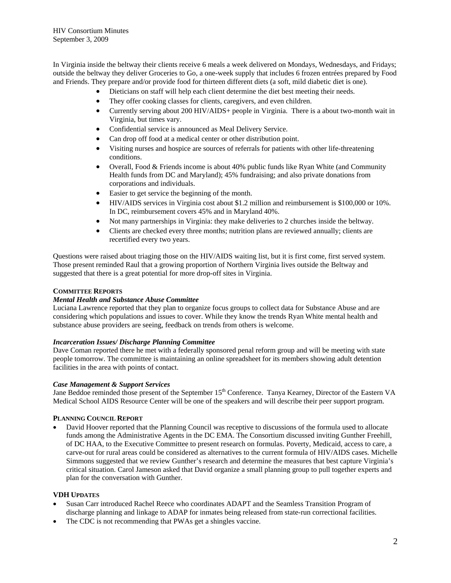In Virginia inside the beltway their clients receive 6 meals a week delivered on Mondays, Wednesdays, and Fridays; outside the beltway they deliver Groceries to Go, a one-week supply that includes 6 frozen entrées prepared by Food and Friends. They prepare and/or provide food for thirteen different diets (a soft, mild diabetic diet is one).

- Dieticians on staff will help each client determine the diet best meeting their needs.
- They offer cooking classes for clients, caregivers, and even children.
- Currently serving about 200 HIV/AIDS+ people in Virginia. There is a about two-month wait in Virginia, but times vary.
- Confidential service is announced as Meal Delivery Service.
- Can drop off food at a medical center or other distribution point.
- Visiting nurses and hospice are sources of referrals for patients with other life-threatening conditions.
- Overall, Food & Friends income is about 40% public funds like Ryan White (and Community Health funds from DC and Maryland); 45% fundraising; and also private donations from corporations and individuals.
- Easier to get service the beginning of the month.
- HIV/AIDS services in Virginia cost about \$1.2 million and reimbursement is \$100,000 or 10%. In DC, reimbursement covers 45% and in Maryland 40%.
- Not many partnerships in Virginia: they make deliveries to 2 churches inside the beltway.
- Clients are checked every three months; nutrition plans are reviewed annually; clients are recertified every two years.

Questions were raised about triaging those on the HIV/AIDS waiting list, but it is first come, first served system. Those present reminded Raul that a growing proportion of Northern Virginia lives outside the Beltway and suggested that there is a great potential for more drop-off sites in Virginia.

## **COMMITTEE REPORTS**

#### *Mental Health and Substance Abuse Committee*

Luciana Lawrence reported that they plan to organize focus groups to collect data for Substance Abuse and are considering which populations and issues to cover. While they know the trends Ryan White mental health and substance abuse providers are seeing, feedback on trends from others is welcome.

#### *Incarceration Issues/ Discharge Planning Committee*

Dave Coman reported there he met with a federally sponsored penal reform group and will be meeting with state people tomorrow. The committee is maintaining an online spreadsheet for its members showing adult detention facilities in the area with points of contact.

#### *Case Management & Support Services*

Jane Beddoe reminded those present of the September 15<sup>th</sup> Conference. Tanya Kearney, Director of the Eastern VA Medical School AIDS Resource Center will be one of the speakers and will describe their peer support program.

#### **PLANNING COUNCIL REPORT**

 David Hoover reported that the Planning Council was receptive to discussions of the formula used to allocate funds among the Administrative Agents in the DC EMA. The Consortium discussed inviting Gunther Freehill, of DC HAA, to the Executive Committee to present research on formulas. Poverty, Medicaid, access to care, a carve-out for rural areas could be considered as alternatives to the current formula of HIV/AIDS cases. Michelle Simmons suggested that we review Gunther's research and determine the measures that best capture Virginia's critical situation. Carol Jameson asked that David organize a small planning group to pull together experts and plan for the conversation with Gunther.

#### **VDH UPDATES**

- Susan Carr introduced Rachel Reece who coordinates ADAPT and the Seamless Transition Program of discharge planning and linkage to ADAP for inmates being released from state-run correctional facilities.
- The CDC is not recommending that PWAs get a shingles vaccine.